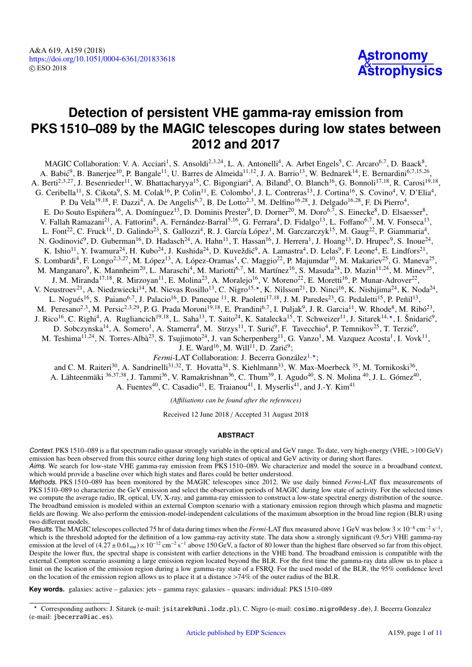# **Detection of persistent VHE gamma-ray emission from PKS 1510–089 by the MAGIC telescopes during low states between 2012 and 2017**

MAGIC Collaboration: V. A. Acciari<sup>[1](#page-9-0)</sup>, S. Ansoldi<sup>[2](#page-9-1)[,3](#page-9-2)[,24](#page-9-3)</sup>, L. A. Antonelli<sup>[4](#page-9-4)</sup>, A. Arbet Engels<sup>[5](#page-9-5)</sup>, C. Arcaro<sup>[6](#page-9-6)[,7](#page-9-7)</sup>, D. Baack<sup>[8](#page-9-8)</sup>, A. Babić<sup>[9](#page-9-9)</sup>, B. Banerjee<sup>[10](#page-9-10)</sup>, P. Bangale<sup>[11](#page-9-11)</sup>, U. Barres de Almeida<sup>11[,12](#page-9-12)</sup>, J. A. Barrio<sup>[13](#page-9-13)</sup>, W. Bednarek<sup>[14](#page-9-14)</sup>, E. Bernardini<sup>[6](#page-9-6)[,7](#page-9-7)[,15](#page-9-15)[,26](#page-10-0)</sup>, A. Berti<sup>[2](#page-9-1)[,3](#page-9-2)[,27](#page-10-1)</sup>, J. Besenrieder<sup>[11](#page-9-11)</sup>, W. Bhattacharyya<sup>[15](#page-9-15)</sup>, C. Bigongiari<sup>[4](#page-9-4)</sup>, A. Biland<sup>[5](#page-9-5)</sup>, O. Blanch<sup>[16](#page-9-16)</sup>, G. Bonnoli<sup>[17](#page-9-17)[,18](#page-9-18)</sup>, R. Carosi<sup>[19](#page-9-19),18</sup>, G. Ceribella<sup>[11](#page-9-11)</sup>, S. Cikota<sup>[9](#page-9-9)</sup>, S. M. Colak<sup>[16](#page-9-16)</sup>, P. Colin<sup>[1](#page-9-0)1</sup>, E. Colombo<sup>1</sup>, J. L. Contreras<sup>[13](#page-9-13)</sup>, J. Cortina<sup>16</sup>, S. Covino<sup>[4](#page-9-4)</sup>, V. D'Elia<sup>4</sup>, P. Da Vela<sup>[19](#page-9-19)[,18](#page-9-18)</sup>, F. Dazzi<sup>[4](#page-9-4)</sup>, A. De Angelis<sup>[6](#page-9-6)[,7](#page-9-7)</sup>, B. De Lotto<sup>[2](#page-9-1)[,3](#page-9-2)</sup>, M. Delfino<sup>[16](#page-9-16)[,28](#page-10-2)</sup>, J. Delgado<sup>16,28</sup>, F. Di Pierro<sup>4</sup>, E. Do Souto Espiñera<sup>[16](#page-9-16)</sup>, A. Domínguez<sup>[13](#page-9-13)</sup>, D. Dominis Prester<sup>[9](#page-9-9)</sup>, D. Dorner<sup>[20](#page-9-20)</sup>, M. Doro<sup>[6](#page-9-6)[,7](#page-9-7)</sup>, S. Einecke<sup>[8](#page-9-8)</sup>, D. Elsaesser<sup>8</sup>, V. Fallah Ramazani<sup>[21](#page-9-21)</sup>, A. Fattorini<sup>[8](#page-9-8)</sup>, A. Fernández-Barral<sup>[5](#page-9-5)[,16](#page-9-16)</sup>, G. Ferrara<sup>[4](#page-9-4)</sup>, D. Fidalgo<sup>[13](#page-9-13)</sup>, L. Foffano<sup>[6](#page-9-6)[,7](#page-9-7)</sup>, M. V. Fonseca<sup>13</sup>, L. Font<sup>[22](#page-9-22)</sup>, C. Fruck<sup>[11](#page-9-11)</sup>, D. Galindo<sup>[23](#page-9-23)</sup>, S. Gallozzi<sup>[4](#page-9-4)</sup>, R. J. García López<sup>[1](#page-9-0)</sup>, M. Garczarczyk<sup>[15](#page-9-15)</sup>, M. Gaug<sup>22</sup>, P. Giammaria<sup>4</sup>, N. Godinović<sup>[9](#page-9-9)</sup>, D. Guberman<sup>[16](#page-9-16)</sup>, D. Hadasch<sup>[24](#page-9-3)</sup>, A. Hahn<sup>[11](#page-9-11)</sup>, T. Hassan<sup>[1](#page-9-0)6</sup>, J. Herrera<sup>1</sup>, J. Hoang<sup>[13](#page-9-13)</sup>, D. Hrupec<sup>9</sup>, S. Inoue<sup>24</sup>, K. Ishio<sup>[11](#page-9-11)</sup>, Y. Iwamura<sup>[24](#page-9-3)</sup>, H. Kubo<sup>24</sup>, J. Kushida<sup>24</sup>, D. Kuveždić<sup>[9](#page-9-9)</sup>, A. Lamastra<sup>[4](#page-9-4)</sup>, D. Lelas<sup>9</sup>, F. Leone<sup>4</sup>, E. Lindfors<sup>[21](#page-9-21)</sup>, S. Lombardi<sup>[4](#page-9-4)</sup>, F. Longo<sup>[2](#page-9-1)[,3](#page-9-2)[,27](#page-10-1)</sup>, M. López<sup>[13](#page-9-13)</sup>, A. López-Oramas<sup>[1](#page-9-0)</sup>, C. Maggio<sup>[22](#page-9-22)</sup>, P. Majumdar<sup>[10](#page-9-10)</sup>, M. Makariev<sup>[25](#page-10-3)</sup>, G. Maneva<sup>25</sup>, M. Manganaro<sup>[9](#page-9-9)</sup>, K. Mannheim<sup>[20](#page-9-20)</sup>, L. Maraschi<sup>[4](#page-9-4)</sup>, M. Mariotti<sup>[6](#page-9-6)[,7](#page-9-7)</sup>, M. Martínez<sup>[16](#page-9-16)</sup>, S. Masuda<sup>[24](#page-9-3)</sup>, D. Mazin<sup>[11](#page-9-11)[,24](#page-9-3)</sup>, M. Minev<sup>[25](#page-10-3)</sup>, J. M. Miranda<sup>[17](#page-9-17)[,18](#page-9-18)</sup>, R. Mirzoyan<sup>[11](#page-9-11)</sup>, E. Molina<sup>[23](#page-9-23)</sup>, A. Moralejo<sup>[16](#page-9-16)</sup>, V. Moreno<sup>[22](#page-9-22)</sup>, E. Moretti<sup>16</sup>, P. Munar-Adrover<sup>22</sup>, V. Neustroev<sup>[21](#page-9-21)</sup>, A. Niedzwiecki<sup>[14](#page-9-14)</sup>, M. Nievas Rosillo<sup>[13](#page-9-13)</sup>, C. Nigro<sup>[15,](#page-9-15)\*</sup>, K. Nilsson<sup>21</sup>, D. Ninci<sup>[16](#page-9-16)</sup>, K. Nishijima<sup>[24](#page-9-3)</sup>, K. Noda<sup>24</sup>, L. Nogués<sup>[16](#page-9-16)</sup>, S. Paiano<sup>[6](#page-9-6)[,7](#page-9-7)</sup>, J. Palacio<sup>16</sup>, D. Paneque <sup>[11](#page-9-11)</sup>, R. Paoletti<sup>[17](#page-9-17)[,18](#page-9-18)</sup>, J. M. Paredes<sup>[23](#page-9-23)</sup>, G. Pedaletti<sup>[15](#page-9-15)</sup>, P. Peñil<sup>[13](#page-9-13)</sup>, M. Peresano<sup>[2](#page-9-1)[,3](#page-9-2)</sup>, M. Persic<sup>2,3[,29](#page-10-4)</sup>, P. G. Prada Moroni<sup>[19](#page-9-19)[,18](#page-9-18)</sup>, E. Prandini<sup>[6](#page-9-6)[,7](#page-9-7)</sup>, I. Puljak<sup>[9](#page-9-9)</sup>, J. R. Garcia<sup>[11](#page-9-11)</sup>, W. Rhode<sup>[8](#page-9-8)</sup>, M. Ribó<sup>[23](#page-9-23)</sup>, J. Rico<sup>[16](#page-9-16)</sup>, C. Righi<sup>[4](#page-9-4)</sup>, A. Rugliancich<sup>[19,](#page-9-19)[18](#page-9-18)</sup>, L. Saha<sup>[13](#page-9-13)</sup>, T. Saito<sup>[24](#page-9-3)</sup>, K. Satalecka<sup>[15](#page-9-15)</sup>, T. Schweizer<sup>[11](#page-9-11)</sup>, J. Sitarek<sup>[14,](#page-9-14)\*</sup>, I. Šnidarić<sup>[9](#page-9-9)</sup>, D. Sobczynska<sup>[14](#page-9-14)</sup>, A. Somero<sup>[1](#page-9-0)</sup>, A. Stamerra<sup>[4](#page-9-4)</sup>, M. Strzys<sup>[11](#page-9-11)</sup>, T. Surić<sup>[9](#page-9-9)</sup>, F. Tavecchio<sup>4</sup>, P. Temnikov<sup>[25](#page-10-3)</sup>, T. Terzić<sup>9</sup>, M. Teshima<sup>[11](#page-9-11)[,24](#page-9-3)</sup>, N. Torres-Albà<sup>[23](#page-9-23)</sup>, S. Tsujimoto<sup>[24](#page-9-3)</sup>, J. van Scherpenberg<sup>[1](#page-9-0)1</sup>, G. Vanzo<sup>1</sup>, M. Vazquez Acosta<sup>1</sup>, I. Vovk<sup>11</sup>, J. E. Ward<sup>[16](#page-9-16)</sup>, M. Will<sup>[11](#page-9-11)</sup>, D. Zarić<sup>[9](#page-9-9)</sup>;

*Fermi*-LAT Collaboration: J. Becerra González<sup>[1,](#page-9-0)\*</sup>;

and C. M. Raiteri<sup>[30](#page-10-5)</sup>, A. Sandrinelli<sup>[31](#page-10-6)[,32](#page-10-7)</sup>, T. Hovatta<sup>[34](#page-10-8)</sup>, S. Kiehlmann<sup>[33](#page-10-9)</sup>, W. Max-Moerbeck <sup>[35](#page-10-10)</sup>, M. Tornikoski<sup>[36](#page-10-11)</sup>,

A. Lähteenmäki <sup>[36](#page-10-11)[,37](#page-10-12)[,38](#page-10-13)</sup>, J. Tammi<sup>36</sup>, V. Ramakrishnan<sup>36</sup>, C. Thum<sup>[39](#page-10-14)</sup>, I. Agudo<sup>[40](#page-10-15)</sup>, S. N. Molina <sup>40</sup>, J. L. Gómez<sup>40</sup>,

A. Fuentes<sup>[40](#page-10-15)</sup>, C. Casadio<sup>[41](#page-10-16)</sup>, E. Traianou<sup>41</sup>, I. Myserlis<sup>41</sup>, and J.-Y. Kim<sup>41</sup>

*(A*ffi*liations can be found after the references)*

Received 12 June 2018 / Accepted 31 August 2018

# **ABSTRACT**

Context. PKS 1510–089 is a flat spectrum radio quasar strongly variable in the optical and GeV range. To date, very high-energy (VHE, >100 GeV) emission has been observed from this source either during long high states of optical and GeV activity or during short flares.

Aims. We search for low-state VHE gamma-ray emission from PKS 1510–089. We characterize and model the source in a broadband context, which would provide a baseline over which high states and flares could be better understood.

Methods. PKS 1510–089 has been monitored by the MAGIC telescopes since 2012. We use daily binned *Fermi*-LAT flux measurements of PKS 1510–089 to characterize the GeV emission and select the observation periods of MAGIC during low state of activity. For the selected times we compute the average radio, IR, optical, UV, X-ray, and gamma-ray emission to construct a low-state spectral energy distribution of the source. The broadband emission is modeled within an external Compton scenario with a stationary emission region through which plasma and magnetic fields are flowing. We also perform the emission-model-independent calculations of the maximum absorption in the broad line region (BLR) using two different models.

Results. The MAGIC telescopes collected 75 hr of data during times when the *Fermi*-LAT flux measured above 1 GeV was below  $3 \times 10^{-8}$  cm<sup>-2</sup> s<sup>-1</sup>. which is the threshold adopted for the definition of a low gamma-ray activity state. The data show a strongly significant (9.5 $\sigma$ ) VHE gamma-ray emission at the level of  $(4.27 \pm 0.61<sub>stat</sub>) \times 10^{-12}$  cm<sup>-2</sup> s<sup>-1</sup> above 150 GeV, a factor of 80 lower than the highest flare observed so far from this object.<br>Despite the lower flux the spectral shape is consistent wit Despite the lower flux, the spectral shape is consistent with earlier detections in the VHE band. The broadband emission is compatible with the external Compton scenario assuming a large emission region located beyond the BLR. For the first time the gamma-ray data allow us to place a limit on the location of the emission region during a low gamma-ray state of a FSRQ. For the used model of the BLR, the 95% confidence level on the location of the emission region allows us to place it at a distance >74% of the outer radius of the BLR.

**Key words.** galaxies: active – galaxies: jets – gamma rays: galaxies – quasars: individual: PKS 1510–089

<sup>?</sup> Corresponding authors: J. Sitarek (e-mail: jsitarek@uni.lodz.pl), C. Nigro (e-mail: cosimo.nigro@desy.de), J. Becerra Gonzalez (e-mail: jbecerra@iac.es).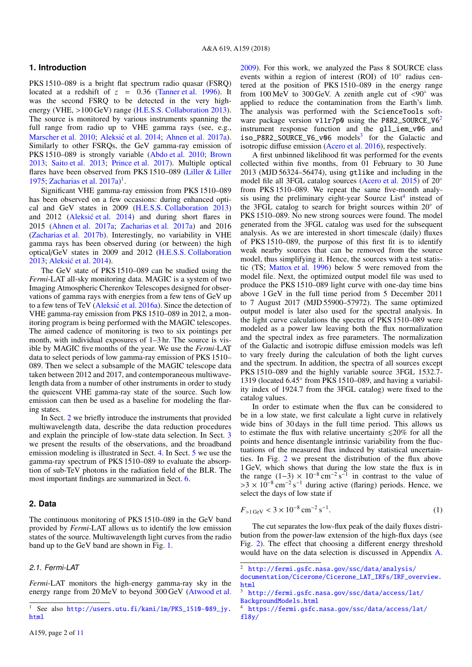# **1. Introduction**

PKS 1510–089 is a bright flat spectrum radio quasar (FSRQ) located at a redshift of  $z = 0.36$  [\(Tanner et al.](#page-9-24) [1996\)](#page-9-24). It was the second FSRQ to be detected in the very high-energy (VHE, >100 GeV) range [\(H.E.S.S. Collaboration](#page-9-25) [2013\)](#page-9-25). The source is monitored by various instruments spanning the full range from radio up to VHE gamma rays (see, e.g., [Marscher et al.](#page-9-26) [2010;](#page-9-26) Aleksić et al. [2014;](#page-9-27) [Ahnen et al.](#page-9-28) [2017a\)](#page-9-28). Similarly to other FSRQs, the GeV gamma-ray emission of PKS 1510–089 is strongly variable [\(Abdo et al.](#page-9-29) [2010;](#page-9-29) [Brown](#page-9-30) [2013;](#page-9-30) [Saito et al.](#page-9-31) [2013;](#page-9-31) [Prince et al.](#page-9-32) [2017\)](#page-9-32). Multiple optical flares have been observed from PKS 1510–089 [\(Liller & Liller](#page-9-33) [1975;](#page-9-33) [Zacharias et al.](#page-9-34)  $2017a$  $2017a$  $2017a$ <sup>1</sup>.

Significant VHE gamma-ray emission from PKS 1510–089 has been observed on a few occasions: during enhanced optical and GeV states in 2009 [\(H.E.S.S. Collaboration](#page-9-25) [2013\)](#page-9-25) and  $2012$  [\(Aleksic et al.](#page-9-27)  $2014$ ) and during short flares in 2015 [\(Ahnen et al.](#page-9-28) [2017a;](#page-9-28) [Zacharias et al.](#page-9-34) [2017a\)](#page-9-34) and 2016 [\(Zacharias et al.](#page-9-35) [2017b\)](#page-9-35). Interestingly, no variability in VHE gamma rays has been observed during (or between) the high optical/GeV states in 2009 and 2012 [\(H.E.S.S. Collaboration](#page-9-25) [2013;](#page-9-25) Aleksić et al. [2014\)](#page-9-27).

The GeV state of PKS 1510–089 can be studied using the *Fermi*-LAT all-sky monitoring data. MAGIC is a system of two Imaging Atmospheric Cherenkov Telescopes designed for observations of gamma rays with energies from a few tens of GeV up to a few tens of TeV (Aleksić et al. [2016a\)](#page-9-36). Since the detection of VHE gamma-ray emission from PKS 1510–089 in 2012, a monitoring program is being performed with the MAGIC telescopes. The aimed cadence of monitoring is two to six pointings per month, with individual exposures of 1–3 hr. The source is visible by MAGIC five months of the year. We use the *Fermi*-LAT data to select periods of low gamma-ray emission of PKS 1510– 089. Then we select a subsample of the MAGIC telescope data taken between 2012 and 2017, and contemporaneous multiwavelength data from a number of other instruments in order to study the quiescent VHE gamma-ray state of the source. Such low emission can then be used as a baseline for modeling the flaring states.

In Sect. [2](#page-1-1) we briefly introduce the instruments that provided multiwavelength data, describe the data reduction procedures and explain the principle of low-state data selection. In Sect. [3](#page-5-0) we present the results of the observations, and the broadband emission modeling is illustrated in Sect. [4.](#page-5-1) In Sect. [5](#page-7-0) we use the gamma-ray spectrum of PKS 1510–089 to evaluate the absorption of sub-TeV photons in the radiation field of the BLR. The most important findings are summarized in Sect. [6.](#page-8-0)

## <span id="page-1-1"></span>**2. Data**

The continuous monitoring of PKS 1510–089 in the GeV band provided by *Fermi*-LAT allows us to identify the low emission states of the source. Multiwavelength light curves from the radio band up to the GeV band are shown in Fig. [1.](#page-2-0)

## <span id="page-1-6"></span>2.1. Fermi-LAT

*Fermi*-LAT monitors the high-energy gamma-ray sky in the energy range from 20 MeV to beyond 300 GeV [\(Atwood et al.](#page-9-37)

[2009\)](#page-9-37). For this work, we analyzed the Pass 8 SOURCE class events within a region of interest (ROI) of 10◦ radius centered at the position of PKS 1510–089 in the energy range from 100 MeV to 300 GeV. A zenith angle cut of  $\langle 90^\circ$  was applied to reduce the contamination from the Earth's limb. The analysis was performed with the ScienceTools soft-ware package version v11r7p0 using the P8R[2](#page-1-2)\_SOURCE\_V6<sup>2</sup> instrument response function and the gll\_iem\_v06 and iso\_P8R2\_SOURCE\_V6\_v06 models<sup>[3](#page-1-3)</sup> for the Galactic and isotropic diffuse emission [\(Acero et al.](#page-9-38) [2016\)](#page-9-38), respectively.

A first unbinned likelihood fit was performed for the events collected within five months, from 01 February to 30 June 2013 (MJD 56324–56474), using gtlike and including in the model file all 3FGL catalog sources [\(Acero et al.](#page-9-39) [2015\)](#page-9-39) of 20◦ from PKS 1510–089. We repeat the same five-month analy-sis using the preliminary eight-year Source List<sup>[4](#page-1-4)</sup> instead of the 3FGL catalog to search for bright sources within 20◦ of PKS 1510–089. No new strong sources were found. The model generated from the 3FGL catalog was used for the subsequent analysis. As we are interested in short timescale (daily) fluxes of PKS 1510–089, the purpose of this first fit is to identify weak nearby sources that can be removed from the source model, thus simplifying it. Hence, the sources with a test statistic (TS; [Mattox et al.](#page-9-40) [1996\)](#page-9-40) below 5 were removed from the model file. Next, the optimized output model file was used to produce the PKS 1510–089 light curve with one-day time bins above 1 GeV in the full time period from 5 December 2011 to 7 August 2017 (MJD 55900-57972). The same optimized output model is later also used for the spectral analysis. In the light curve calculations the spectra of PKS 1510–089 were modeled as a power law leaving both the flux normalization and the spectral index as free parameters. The normalization of the Galactic and isotropic diffuse emission models was left to vary freely during the calculation of both the light curves and the spectrum. In addition, the spectra of all sources except PKS 1510–089 and the highly variable source 3FGL 1532.7- 1319 (located 6.45° from PKS 1510–089, and having a variability index of 1924.7 from the 3FGL catalog) were fixed to the catalog values.

In order to estimate when the flux can be considered to be in a low state, we first calculate a light curve in relatively wide bins of 30 days in the full time period. This allows us to estimate the flux with relative uncertainty  $\leq 20\%$  for all the points and hence disentangle intrinsic variability from the fluctuations of the measured flux induced by statistical uncertainties. In Fig. [2](#page-3-0) we present the distribution of the flux above 1 GeV, which shows that during the low state the flux is in the range  $(1-3) \times 10^{-8}$  cm<sup>-2</sup> s<sup>-1</sup> in contrast to the value of >3 ×  $10^{-8}$  cm<sup>-2</sup> s<sup>-1</sup> during active (flaring) periods. Hence, we select the days of low state if select the days of low state if

<span id="page-1-5"></span>
$$
F_{>1\,\mathrm{GeV}} < 3 \times 10^{-8} \,\mathrm{cm}^{-2} \,\mathrm{s}^{-1}.\tag{1}
$$

The cut separates the low-flux peak of the daily fluxes distribution from the power-law extension of the high-flux days (see Fig. [2\)](#page-3-0). The effect that choosing a different energy threshold would have on the data selection is discussed in Appendix [A.](#page-10-18)

<span id="page-1-0"></span><sup>&</sup>lt;sup>1</sup> See also [http://users.utu.fi/kani/1m/PKS\\_1510-089\\_jy.](http://users.utu.fi/kani/1m/PKS_1510-089_jy.html) [html](http://users.utu.fi/kani/1m/PKS_1510-089_jy.html)

<span id="page-1-2"></span><sup>2</sup> [http://fermi.gsfc.nasa.gov/ssc/data/analysis/](http://fermi.gsfc.nasa.gov/ssc/data/analysis/documentation/Cicerone/Cicerone_LAT_IRFs/IRF_overview.html)

[documentation/Cicerone/Cicerone\\_LAT\\_IRFs/IRF\\_overview.](http://fermi.gsfc.nasa.gov/ssc/data/analysis/documentation/Cicerone/Cicerone_LAT_IRFs/IRF_overview.html)  $\frac{\text{html}}{3 \text{ h}+1}$  $\frac{\text{html}}{3 \text{ h}+1}$  $\frac{\text{html}}{3 \text{ h}+1}$ 

<span id="page-1-3"></span>[http://fermi.gsfc.nasa.gov/ssc/data/access/lat/](http://fermi.gsfc.nasa.gov/ssc/data/access/lat/BackgroundModels.html) [BackgroundModels.html](http://fermi.gsfc.nasa.gov/ssc/data/access/lat/BackgroundModels.html)

<span id="page-1-4"></span><sup>4</sup> [https://fermi.gsfc.nasa.gov/ssc/data/access/lat/](https://fermi.gsfc.nasa.gov/ssc/data/access/lat/fl8y/) [fl8y/](https://fermi.gsfc.nasa.gov/ssc/data/access/lat/fl8y/)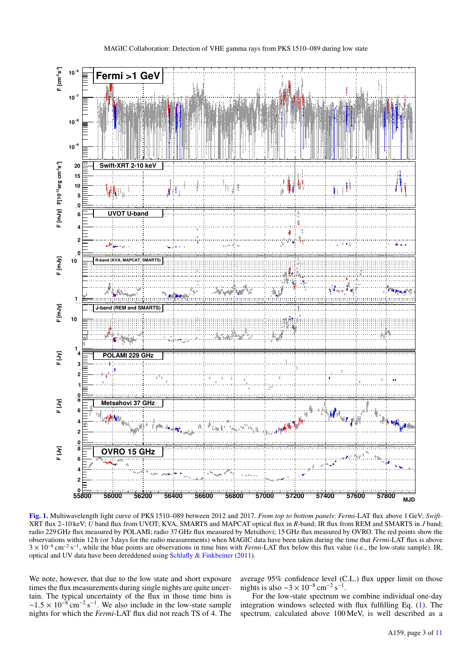

<span id="page-2-0"></span>[Fig. 1.](https://dexter.edpsciences.org/applet.php?DOI=10.1051/0004-6361/201833618&pdf_id=1) Multiwavelength light curve of PKS 1510–089 between 2012 and 2017. *From top to bottom panels*: *Fermi*-LAT flux above 1 GeV; *Swift*-XRT flux 2–10 keV; *U* band flux from UVOT; KVA, SMARTS and MAPCAT optical flux in *R*-band; IR flux from REM and SMARTS in *J* band; radio 229 GHz flux measured by POLAMI; radio 37 GHz flux measured by Metsähovi; 15 GHz flux measured by OVRO. The red points show the observations within 12 h (or 3 days for the radio measurements) when MAGIC data have been taken during the time that *Fermi*-LAT flux is above 3 × 10<sup>-8</sup> cm<sup>-2</sup> s<sup>-1</sup>, while the blue points are observations in time bins with *Fermi*-LAT flux below this flux value (i.e., the low-state sample). IR, optical and UV data have been dereddened using [Schlafly & Finkbeiner](#page-9-41) [\(2011\)](#page-9-41).

We note, however, that due to the low state and short exposure times the flux measurements during single nights are quite uncertain. The typical uncertainty of the flux in those time bins is ~1.5 × 10<sup>-8</sup> cm<sup>-2</sup> s<sup>-1</sup>. We also include in the low-state sample<br>nights for which the *Fermi*-LAT flux did not reach TS of 4 The nights for which the *Fermi*-LAT flux did not reach TS of 4. The

average 95% confidence level (C.L.) flux upper limit on those nights is also  $\sim 3 \times 10^{-8}$  cm<sup>-2</sup> s<sup>-1</sup>.

For the low-state spectrum we combine individual one-day integration windows selected with flux fulfilling Eq. [\(1\)](#page-1-5). The spectrum, calculated above 100 MeV, is well described as a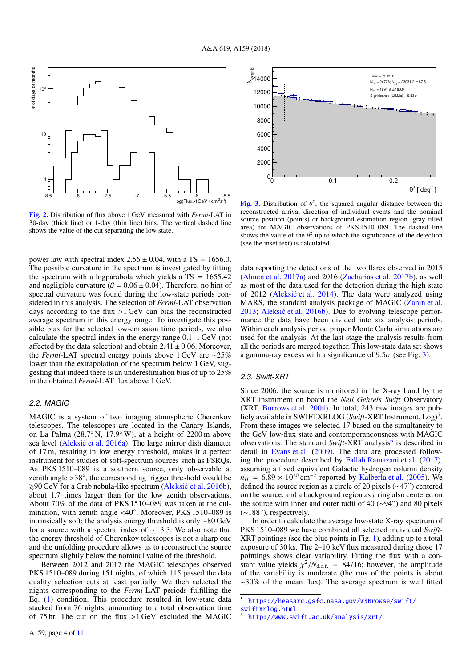

<span id="page-3-0"></span>[Fig. 2.](https://dexter.edpsciences.org/applet.php?DOI=10.1051/0004-6361/201833618&pdf_id=2) Distribution of flux above 1 GeV measured with *Fermi*-LAT in 30-day (thick line) or 1-day (thin line) bins. The vertical dashed line shows the value of the cut separating the low state.

power law with spectral index  $2.56 \pm 0.04$ , with a TS = 1656.0. The possible curvature in the spectrum is investigated by fitting the spectrum with a logparabola which yields a  $TS = 1655.42$ and negligible curvature ( $\beta = 0.06 \pm 0.04$ ). Therefore, no hint of spectral curvature was found during the low-state periods considered in this analysis. The selection of *Fermi*-LAT observation days according to the flux >1 GeV can bias the reconstructed average spectrum in this energy range. To investigate this possible bias for the selected low-emission time periods, we also calculate the spectral index in the energy range 0.1–1 GeV (not affected by the data selection) and obtain  $2.41 \pm 0.06$ . Moreover, the *Fermi*-LAT spectral energy points above 1 GeV are ∼25% lower than the extrapolation of the spectrum below 1 GeV, suggesting that indeed there is an underestimation bias of up to 25% in the obtained *Fermi*-LAT flux above 1 GeV.

# 2.2. MAGIC

MAGIC is a system of two imaging atmospheric Cherenkov telescopes. The telescopes are located in the Canary Islands, on La Palma (28.7° N, 17.9° W), at a height of 2200 m above<br>sea level (Aleksić et al. 2016a). The large mirror dish diameter sea level (Aleksić et al. [2016a\)](#page-9-36). The large mirror dish diameter of 17 m, resulting in low energy threshold, makes it a perfect instrument for studies of soft-spectrum sources such as FSRQs. As PKS 1510–089 is a southern source, only observable at zenith angle >38°, the corresponding trigger threshold would be<br>>90 GeV for a Crab nebula-like spectrum (Aleksić et al. 2016b)  $\geq$ 90 GeV for a Crab nebula-like spectrum (Aleksić et al. [2016b\)](#page-9-42), about 1.7 times larger than for the low zenith observations. About 70% of the data of PKS 1510–089 was taken at the culmination, with zenith angle <40<sup>°</sup>. Moreover, PKS 1510–089 is<br>intrinsically soft: the analysis energy threshold is only ∼80 GeV intrinsically soft; the analysis energy threshold is only ∼80 GeV for a source with a spectral index of ∼−3.3. We also note that the energy threshold of Cherenkov telescopes is not a sharp one and the unfolding procedure allows us to reconstruct the source spectrum slightly below the nominal value of the threshold.

Between 2012 and 2017 the MAGIC telescopes observed PKS 1510–089 during 151 nights, of which 115 passed the data quality selection cuts at least partially. We then selected the nights corresponding to the *Fermi*-LAT periods fulfilling the Eq. [\(1\)](#page-1-5) condition. This procedure resulted in low-state data stacked from 76 nights, amounting to a total observation time of 75 hr. The cut on the flux >1 GeV excluded the MAGIC



<span id="page-3-1"></span>**[Fig. 3.](https://dexter.edpsciences.org/applet.php?DOI=10.1051/0004-6361/201833618&pdf_id=3)** Distribution of  $\theta^2$ , the squared angular distance between the reconstructed arrival direction of individual events and the nominal reconstructed arrival direction of individual events and the nominal source position (points) or background estimation region (gray filled area) for MAGIC observations of PKS 1510–089. The dashed line shows the value of the  $\theta^2$  up to which the significance of the detection (see the inset text) is calculated (see the inset text) is calculated.

data reporting the detections of the two flares observed in 2015 [\(Ahnen et al.](#page-9-28) [2017a\)](#page-9-28) and 2016 [\(Zacharias et al.](#page-9-35) [2017b\)](#page-9-35), as well as most of the data used for the detection during the high state of 2012 (Aleksić et al. [2014\)](#page-9-27). The data were analyzed using MARS, the standard analysis package of MAGIC [\(Zanin et al.](#page-9-43) [2013;](#page-9-43) Aleksić et al. [2016b\)](#page-9-42). Due to evolving telescope performance the data have been divided into six analysis periods. Within each analysis period proper Monte Carlo simulations are used for the analysis. At the last stage the analysis results from all the periods are merged together. This low-state data set shows a gamma-ray excess with a significance of  $9.5\sigma$  (see Fig. [3\)](#page-3-1).

#### 2.3. Swift-XRT

Since 2006, the source is monitored in the X-ray band by the XRT instrument on board the *Neil Gehrels Swift* Observatory (XRT, [Burrows et al.](#page-9-44) [2004\)](#page-9-44). In total, 243 raw images are publicly available in SWIFTXRLOG (*Swift*-XRT Instrument, Log)[5](#page-3-2) . From these images we selected 17 based on the simultaneity to the GeV low-flux state and contemporaneousness with MAGIC observations. The standard *Swift*-XRT analysis<sup>[6](#page-3-3)</sup> is described in detail in [Evans et al.](#page-9-45) [\(2009\)](#page-9-45). The data are processed following the procedure described by [Fallah Ramazani et al.](#page-9-46) [\(2017\)](#page-9-46), assuming a fixed equivalent Galactic hydrogen column density  $n_H = 6.89 \times 10^{20}$  cm<sup>-2</sup> reported by [Kalberla et al.](#page-9-47) [\(2005\)](#page-9-47). We defined the source region as a circle of 20 nixels ( $\sim$ 47") centered defined the source region as a circle of 20 pixels (∼47") centered on the source, and a background region as a ring also centered on the source with inner and outer radii of 40 (∼94") and 80 pixels  $(\sim 188"')$ , respectively.

In order to calculate the average low-state X-ray spectrum of PKS 1510–089 we have combined all selected individual *Swift*-XRT pointings (see the blue points in Fig. [1\)](#page-2-0), adding up to a total exposure of 30 ks. The 2–10 keV flux measured during those 17 pointings shows clear variability. Fitting the flux with a constant value yields  $\chi^2/N_{\text{d.o.f.}} = 84/16$ ; however, the amplitude of the variability is moderate (the rms of the points is about of the variability is moderate (the rms of the points is about ∼30% of the mean flux). The average spectrum is well fitted

<span id="page-3-2"></span><sup>5</sup> [https://heasarc.gsfc.nasa.gov/W3Browse/swift/](https://heasarc.gsfc.nasa.gov/W3Browse/swift/swiftxrlog.html)  $\frac{\text{switrlog.html}}{\text{6} + \text{tr}(1/\text{max})}$ 

<span id="page-3-3"></span><sup>6</sup> <http://www.swift.ac.uk/analysis/xrt/>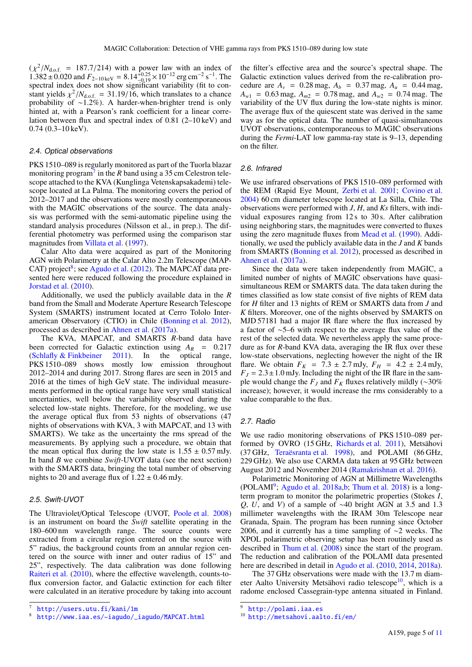$(\chi^2/N_{\text{d.o.f.}} = 187.7/214)$  with a power law with an index of  $1.382 \pm 0.020$  and  $F_{2,10\text{ hV}} = 8.14^{+0.25} \times 10^{-12}$  erg cm<sup>-2</sup> s<sup>-1</sup>. The  $(\chi^2/N_{\text{d.o.f.}} = 187.7/214)$  with a power law with an index of  $1.382 \pm 0.020$  and  $F_{2-10 \text{ keV}} = 8.14_{-0.19}^{+0.25} \times 10^{-12}$  erg cm<sup>-2</sup> s<sup>-1</sup>. The spectral index does not show significant variability (fit to conspectral index does not show significant variability (fit to constant yields  $\chi^2/N_{\text{d.o.f.}} = 31.19/16$ , which translates to a chance<br>probability of  $\sim 1.2\%$ ). A harder-when-brighter trend is only probability of <sup>∼</sup>1.2%). A harder-when-brighter trend is only hinted at, with a Pearson's rank coefficient for a linear correlation between flux and spectral index of 0.81 (2–10 keV) and 0.74 (0.3–10 keV).

#### 2.4. Optical observations

PKS 1510–089 is regularly monitored as part of the Tuorla blazar monitoring program<sup>[7](#page-4-0)</sup> in the *R* band using a 35 cm Celestron telescope attached to the KVA (Kunglinga Vetenskapsakademi) telescope located at La Palma. The monitoring covers the period of 2012–2017 and the observations were mostly contemporaneous with the MAGIC observations of the source. The data analysis was performed with the semi-automatic pipeline using the standard analysis procedures (Nilsson et al., in prep.). The differential photometry was performed using the comparison star magnitudes from [Villata et al.](#page-9-48) [\(1997\)](#page-9-48).

Calar Alto data were acquired as part of the Monitoring AGN with Polarimetry at the Calar Alto 2.2m Telescope (MAP-CAT) project<sup>[8](#page-4-1)</sup>; see [Agudo et al.](#page-9-49) [\(2012\)](#page-9-49). The MAPCAT data presented here were reduced following the procedure explained in [Jorstad et al.](#page-9-50) [\(2010\)](#page-9-50).

Additionally, we used the publicly available data in the *R* band from the Small and Moderate Aperture Research Telescope System (SMARTS) instrument located at Cerro Tololo Interamerican Observatory (CTIO) in Chile [\(Bonning et al.](#page-9-51) [2012\)](#page-9-51), processed as described in [Ahnen et al.](#page-9-28) [\(2017a\)](#page-9-28).

The KVA, MAPCAT, and SMARTS *R*-band data have been corrected for Galactic extinction using  $A_R$  = 0.217 (Schlafly & Finkbeiner 2011). In the optical range, (Schlafly  $&$  Finkbeiner PKS 1510–089 shows mostly low emission throughout 2012–2014 and during 2017. Strong flares are seen in 2015 and 2016 at the times of high GeV state. The individual measurements performed in the optical range have very small statistical uncertainties, well below the variability observed during the selected low-state nights. Therefore, for the modeling, we use the average optical flux from 53 nights of observations (47 nights of observations with KVA, 3 with MAPCAT, and 13 with SMARTS). We take as the uncertainty the rms spread of the measurements. By applying such a procedure, we obtain that the mean optical flux during the low state is  $1.55 \pm 0.57$  mJy. In band *B* we combine *Swift*-UVOT data (see the next section) with the SMARTS data, bringing the total number of observing nights to 20 and average flux of  $1.22 \pm 0.46$  mJy.

### 2.5. Swift-UVOT

The Ultraviolet/Optical Telescope (UVOT, [Poole et al.](#page-9-52) [2008\)](#page-9-52) is an instrument on board the *Swift* satellite operating in the 180–600 nm wavelength range. The source counts were extracted from a circular region centered on the source with 5" radius, the background counts from an annular region centered on the source with inner and outer radius of 15" and 25", respectively. The data calibration was done following [Raiteri et al.](#page-9-53) [\(2010\)](#page-9-53), where the effective wavelength, counts-toflux conversion factor, and Galactic extinction for each filter were calculated in an iterative procedure by taking into account the filter's effective area and the source's spectral shape. The Galactic extinction values derived from the re-calibration procedure are  $A_v = 0.28$  mag,  $A_b = 0.37$  mag,  $A_u = 0.44$  mag,  $A_{w1}$  = 0.63 mag,  $A_{m2}$  = 0.78 mag, and  $A_{w2}$  = 0.74 mag. The variability of the UV flux during the low-state nights is minor. The average flux of the quiescent state was derived in the same way as for the optical data. The number of quasi-simultaneous UVOT observations, contemporaneous to MAGIC observations during the *Fermi*-LAT low gamma-ray state is 9–13, depending on the filter.

## 2.6. Infrared

We use infrared observations of PKS 1510–089 performed with the REM (Rapid Eye Mount, [Zerbi et al.](#page-9-54) [2001;](#page-9-54) [Covino et al.](#page-9-55) [2004\)](#page-9-55) 60 cm diameter telescope located at La Silla, Chile. The observations were performed with *J*, *H*, and *Ks* filters, with individual exposures ranging from 12 s to 30 s. After calibration using neighboring stars, the magnitudes were converted to fluxes using the zero magnitude fluxes from [Mead et al.](#page-9-56) [\(1990\)](#page-9-56). Additionally, we used the publicly available data in the *J* and *K* bands from SMARTS [\(Bonning et al.](#page-9-51) [2012\)](#page-9-51), processed as described in [Ahnen et al.](#page-9-28) [\(2017a\)](#page-9-28).

Since the data were taken independently from MAGIC, a limited number of nights of MAGIC observations have quasisimultaneous REM or SMARTS data. The data taken during the times classified as low state consist of five nights of REM data for *H* filter and 13 nights of REM or SMARTS data from *J* and *K* filters. Moreover, one of the nights observed by SMARTS on MJD 57181 had a major IR flare where the flux increased by a factor of ∼5–6 with respect to the average flux value of the rest of the selected data. We nevertheless apply the same procedure as for *R*-band KVA data, averaging the IR flux over these low-state observations, neglecting however the night of the IR flare. We obtain  $F_K = 7.3 \pm 2.7$  mJy,  $F_H = 4.2 \pm 2.4$  mJy,  $F_J = 2.3 \pm 1.0$  mJy. Including the night of the IR flare in the sample would change the  $F_J$  and  $F_K$  fluxes relatively mildly ( $\sim$ 30% increase); however, it would increase the rms considerably to a value comparable to the flux.

### 2.7. Radio

We use radio monitoring observations of PKS 1510–089 performed by OVRO (15 GHz, [Richards et al.](#page-9-57) [2011\)](#page-9-57), Metsähovi (37 GHz, [Teraësranta et al.](#page-9-58) [1998\)](#page-9-58), and POLAMI (86 GHz, 229 GHz). We also use CARMA data taken at 95 GHz between August 2012 and November 2014 [\(Ramakrishnan et al.](#page-9-59) [2016\)](#page-9-59).

Polarimetric Monitoring of AGN at Millimetre Wavelengths (POLAMI<sup>[9](#page-4-2)</sup>; [Agudo et al.](#page-9-60) [2018a](#page-9-60)[,b;](#page-9-61) [Thum et al.](#page-9-62) [2018\)](#page-9-62) is a longterm program to monitor the polarimetric properties (Stokes *I*, *Q*, *U*, and *V*) of a sample of ~40 bright AGN at 3.5 and 1.3 millimeter wavelengths with the IRAM 30m Telescope near Granada, Spain. The program has been running since October 2006, and it currently has a time sampling of ∼2 weeks. The XPOL polarimetric observing setup has been routinely used as described in [Thum et al.](#page-9-63) [\(2008\)](#page-9-63) since the start of the program. The reduction and calibration of the POLAMI data presented here are described in detail in [Agudo et al.](#page-9-64) [\(2010,](#page-9-64) [2014,](#page-9-65) [2018a\)](#page-9-60).

The 37 GHz observations were made with the 13.7 m diam-eter Aalto University Metsähovi radio telescope<sup>[10](#page-4-3)</sup>, which is a radome enclosed Cassegrain-type antenna situated in Finland.

<span id="page-4-0"></span><http://users.utu.fi/kani/1m>

<span id="page-4-1"></span><sup>8</sup> [http://www.iaa.es/~iagudo/\\_iagudo/MAPCAT.html](http://www.iaa.es/~iagudo/_iagudo/MAPCAT.html)

<span id="page-4-2"></span><sup>9</sup> <http://polami.iaa.es>

<span id="page-4-3"></span><sup>10</sup> <http://metsahovi.aalto.fi/en/>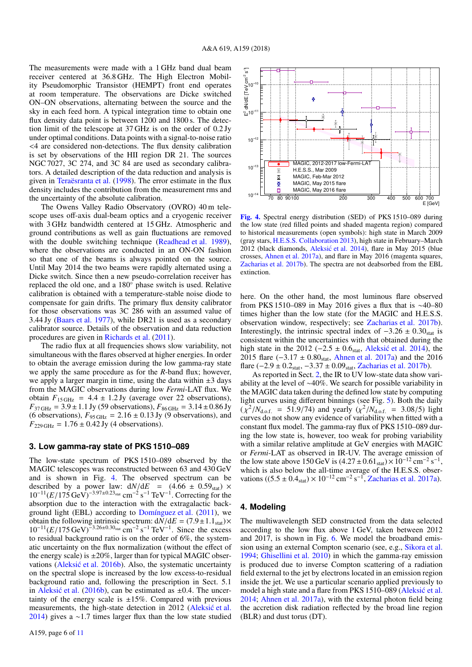The measurements were made with a 1 GHz band dual beam receiver centered at 36.8 GHz. The High Electron Mobility Pseudomorphic Transistor (HEMPT) front end operates at room temperature. The observations are Dicke switched ON–ON observations, alternating between the source and the sky in each feed horn. A typical integration time to obtain one flux density data point is between 1200 and 1800 s. The detection limit of the telescope at 37 GHz is on the order of 0.2 Jy under optimal conditions. Data points with a signal-to-noise ratio <4 are considered non-detections. The flux density calibration is set by observations of the HII region DR 21. The sources NGC 7027, 3C 274, and 3C 84 are used as secondary calibrators. A detailed description of the data reduction and analysis is given in [Teraësranta et al.](#page-9-58) [\(1998\)](#page-9-58). The error estimate in the flux density includes the contribution from the measurement rms and the uncertainty of the absolute calibration.

The Owens Valley Radio Observatory (OVRO) 40 m telescope uses off-axis dual-beam optics and a cryogenic receiver with 3 GHz bandwidth centered at 15 GHz. Atmospheric and ground contributions as well as gain fluctuations are removed with the double switching technique [\(Readhead et al.](#page-9-66) [1989\)](#page-9-66), where the observations are conducted in an ON-ON fashion so that one of the beams is always pointed on the source. Until May 2014 the two beams were rapidly alternated using a Dicke switch. Since then a new pseudo-correlation receiver has replaced the old one, and a  $180^\circ$  phase switch is used. Relative calibration is obtained with a temperature-stable noise diode to compensate for gain drifts. The primary flux density calibrator for those observations was 3C 286 with an assumed value of 3.44 Jy [\(Baars et al.](#page-9-67) [1977\)](#page-9-67), while DR21 is used as a secondary calibrator source. Details of the observation and data reduction procedures are given in [Richards et al.](#page-9-57) [\(2011\)](#page-9-57).

The radio flux at all frequencies shows slow variability, not simultaneous with the flares observed at higher energies. In order to obtain the average emission during the low gamma-ray state we apply the same procedure as for the *R*-band flux; however, we apply a larger margin in time, using the data within  $\pm 3$  days from the MAGIC observations during low *Fermi*-LAT flux. We obtain  $F_{15 \text{ GHz}} = 4.4 \pm 1.2 \text{ Jy}$  (average over 22 observations),  $F_{37 \text{ GHz}} = 3.9 \pm 1.1 \text{ Jy}$  (59 observations),  $F_{86 \text{ GHz}} = 3.14 \pm 0.86 \text{ Jy}$ (6 observations),  $F_{95 \text{ GHz}} = 2.16 \pm 0.13 \text{ Jy}$  (9 observations), and  $F_{229\,\text{GHz}} = 1.76 \pm 0.42 \,\text{Jy}$  (4 observations).

#### <span id="page-5-0"></span>**3. Low gamma-ray state of PKS 1510–089**

The low-state spectrum of PKS 1510–089 observed by the MAGIC telescopes was reconstructed between 63 and 430 GeV and is shown in Fig. [4.](#page-5-2) The observed spectrum can be described by a power law:  $dN/dE = (4.66 \pm 0.59<sub>stat</sub>) \times$  $10^{-11}(E/175 \,\text{GeV})^{-3.97\pm0.23_{\text{stat}}} \text{cm}^{-2} \text{ s}^{-1} \text{ TeV}^{-1}$ . Correcting for the absorption due to the interaction with the extragalactic backabsorption due to the interaction with the extragalactic background light (EBL) according to [Domínguez et al.](#page-9-68) [\(2011\)](#page-9-68), we obtain the following intrinsic spectrum:  $dN/dE = (7.9 \pm 1.1<sub>stat</sub>) \times$  $10^{-11}(E/175 \,\text{GeV})^{-3.26\pm0.30_{\text{stat}}} \,\text{cm}^{-2} \,\text{s}^{-1} \,\text{TeV}^{-1}$ . Since the excess to residual background ratio is on the order of 6% the systemto residual background ratio is on the order of 6%, the systematic uncertainty on the flux normalization (without the effect of the energy scale) is  $\pm 20\%$ , larger than for typical MAGIC obser-vations (Aleksić et al. [2016b\)](#page-9-42). Also, the systematic uncertainty on the spectral slope is increased by the low excess-to-residual background ratio and, following the prescription in Sect. 5.1 in Aleksić et al.  $(2016b)$ , can be estimated as  $\pm 0.4$ . The uncertainty of the energy scale is  $\pm 15\%$ . Compared with previous measurements, the high-state detection in 2012 (Aleksić et al. [2014\)](#page-9-27) gives a ∼1.7 times larger flux than the low state studied



<span id="page-5-2"></span>[Fig. 4.](https://dexter.edpsciences.org/applet.php?DOI=10.1051/0004-6361/201833618&pdf_id=4) Spectral energy distribution (SED) of PKS 1510–089 during the low state (red filled points and shaded magenta region) compared to historical measurements (open symbols): high state in March 2009 (gray stars, [H.E.S.S. Collaboration](#page-9-25) [2013\)](#page-9-25), high state in February–March 2012 (black diamonds, Aleksić et al. [2014\)](#page-9-27), flare in May 2015 (blue crosses, [Ahnen et al.](#page-9-28) [2017a\)](#page-9-28), and flare in May 2016 (magenta squares, [Zacharias et al.](#page-9-35) [2017b\)](#page-9-35). The spectra are not deabsorbed from the EBL extinction.

here. On the other hand, the most luminous flare observed from PKS 1510–089 in May 2016 gives a flux that is ∼40–80 times higher than the low state (for the MAGIC and H.E.S.S. observation window, respectively; see [Zacharias et al.](#page-9-35) [2017b\)](#page-9-35). Interestingly, the intrinsic spectral index of  $-3.26 \pm 0.30_{stat}$  is consistent within the uncertainties with that obtained during the high state in the 2012 ( $-2.5 \pm 0.6$ <sub>stat</sub>, Aleksić et al. [2014\)](#page-9-27), the 2015 flare  $(-3.17 \pm 0.80<sub>stat</sub>)$ , [Ahnen et al.](#page-9-28) [2017a\)](#page-9-28) and the 2016 flare  $(-2.9 \pm 0.2<sub>stat</sub>, -3.37 \pm 0.09<sub>stat</sub>, Zacharias et al. 2017b).$  $(-2.9 \pm 0.2<sub>stat</sub>, -3.37 \pm 0.09<sub>stat</sub>, Zacharias et al. 2017b).$  $(-2.9 \pm 0.2<sub>stat</sub>, -3.37 \pm 0.09<sub>stat</sub>, Zacharias et al. 2017b).$  $(-2.9 \pm 0.2<sub>stat</sub>, -3.37 \pm 0.09<sub>stat</sub>, Zacharias et al. 2017b).$  $(-2.9 \pm 0.2<sub>stat</sub>, -3.37 \pm 0.09<sub>stat</sub>, Zacharias et al. 2017b).$ 

As reported in Sect. [2,](#page-1-1) the IR to UV low-state data show variability at the level of ∼40%. We search for possible variability in the MAGIC data taken during the defined low state by computing light curves using different binnings (see Fig. [5\)](#page-6-0). Both the daily  $(\chi^2/N_{\text{d.o.f.}} = 51.9/74)$  and yearly  $(\chi^2/N_{\text{d.o.f.}} = 3.08/5)$  light curves do not show any evidence of variability when fitted with a curves do not show any evidence of variability when fitted with a constant flux model. The gamma-ray flux of PKS 1510–089 during the low state is, however, too weak for probing variability with a similar relative amplitude at GeV energies with MAGIC or *Fermi*-LAT as observed in IR-UV. The average emission of the low state above 150 GeV is  $(4.27 \pm 0.61<sub>stat</sub>) \times 10<sup>-12</sup>$  cm<sup>-2</sup> s<sup>-1</sup>, which is also below the all-time average of the H E S S, obserwhich is also below the all-time average of the H.E.S.S. observations ((5.5 ±  $0.4<sub>stat</sub>$ ) ×  $10<sup>-12</sup>$  cm<sup>-2</sup> s<sup>-1</sup>, [Zacharias et al.](#page-9-34) [2017a\)](#page-9-34).

# <span id="page-5-1"></span>**4. Modeling**

The multiwavelength SED constructed from the data selected according to the low flux above 1 GeV, taken between 2012 and 2017, is shown in Fig. [6.](#page-6-1) We model the broadband emission using an external Compton scenario (see, e.g., [Sikora et al.](#page-9-69) [1994;](#page-9-69) [Ghisellini et al.](#page-9-70) [2010\)](#page-9-70) in which the gamma-ray emission is produced due to inverse Compton scattering of a radiation field external to the jet by electrons located in an emission region inside the jet. We use a particular scenario applied previously to model a high state and a flare from PKS 1510–089 (Aleksić et al. [2014;](#page-9-27) [Ahnen et al.](#page-9-28) [2017a\)](#page-9-28), with the external photon field being the accretion disk radiation reflected by the broad line region (BLR) and dust torus (DT).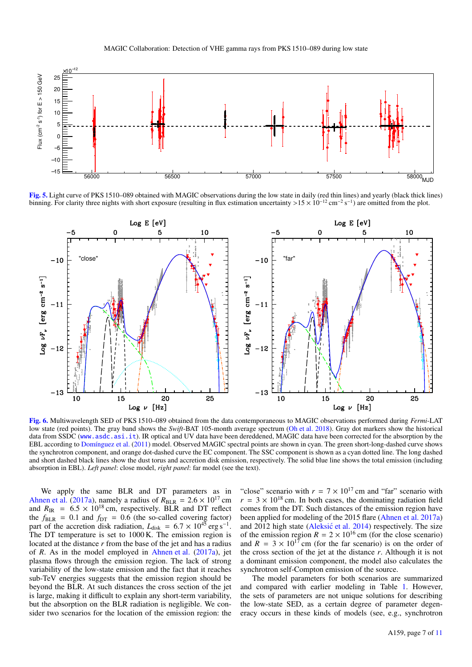

<span id="page-6-0"></span>[Fig. 5.](https://dexter.edpsciences.org/applet.php?DOI=10.1051/0004-6361/201833618&pdf_id=5) Light curve of PKS 1510–089 obtained with MAGIC observations during the low state in daily (red thin lines) and yearly (black thick lines) binning. For clarity three nights with short exposure (resulting in flux estimation uncertainty >15 ×  $10^{-12}$  cm<sup>-2</sup> s<sup>-1</sup>) are omitted from the plot.



<span id="page-6-1"></span>[Fig. 6.](https://dexter.edpsciences.org/applet.php?DOI=10.1051/0004-6361/201833618&pdf_id=6) Multiwavelength SED of PKS 1510–089 obtained from the data contemporaneous to MAGIC observations performed during *Fermi*-LAT low state (red points). The gray band shows the *Swift*-BAT 105-month average spectrum [\(Oh et al.](#page-9-71) [2018\)](#page-9-71). Gray dot markers show the historical data from SSDC (<www.asdc.asi.it>). IR optical and UV data have been dereddened, MAGIC data have been corrected for the absorption by the EBL according to [Domínguez et al.](#page-9-68) [\(2011\)](#page-9-68) model. Observed MAGIC spectral points are shown in cyan. The green short-long-dashed curve shows the synchrotron component, and orange dot-dashed curve the EC component. The SSC component is shown as a cyan dotted line. The long dashed and short dashed black lines show the dust torus and accretion disk emission, respectively. The solid blue line shows the total emission (including absorption in EBL). *Left panel*: close model, *right panel*: far model (see the text).

We apply the same BLR and DT parameters as in [Ahnen et al.](#page-9-28) [\(2017a\)](#page-9-28), namely a radius of  $R_{BLR} = 2.6 \times 10^{17}$  cm and  $R_{\text{IR}}$  = 6.5 × 10<sup>18</sup> cm, respectively. BLR and DT reflect the  $f_{BLR}$  = 0.1 and  $f_{DT}$  = 0.6 (the so-called covering factor) part of the accretion disk radiation,  $L_{disk} = 6.7 \times 10^{45}$  erg s<sup>−1</sup>.<br>The DT temperature is set to 1000 K. The emission region is The DT temperature is set to 1000 K. The emission region is located at the distance *r* from the base of the jet and has a radius of *R*. As in the model employed in [Ahnen et al.](#page-9-28) [\(2017a\)](#page-9-28), jet plasma flows through the emission region. The lack of strong variability of the low-state emission and the fact that it reaches sub-TeV energies suggests that the emission region should be beyond the BLR. At such distances the cross section of the jet is large, making it difficult to explain any short-term variability, but the absorption on the BLR radiation is negligible. We consider two scenarios for the location of the emission region: the

"close" scenario with  $r = 7 \times 10^{17}$  cm and "far" scenario with  $r = 3 \times 10^{18}$  cm. In both cases, the dominating radiation field comes from the DT. Such distances of the emission region have been applied for modeling of the 2015 flare [\(Ahnen et al.](#page-9-28) [2017a\)](#page-9-28) and 2012 high state (Aleksić et al. [2014\)](#page-9-27) respectively. The size of the emission region  $R = 2 \times 10^{16}$  cm (for the close scenario) and  $R = 3 \times 10^{17}$  cm (for the far scenario) is on the order of the cross section of the jet at the distance *r*. Although it is not a dominant emission component, the model also calculates the synchrotron self-Compton emission of the source.

The model parameters for both scenarios are summarized and compared with earlier modeling in Table [1.](#page-7-1) However, the sets of parameters are not unique solutions for describing the low-state SED, as a certain degree of parameter degeneracy occurs in these kinds of models (see, e.g., synchrotron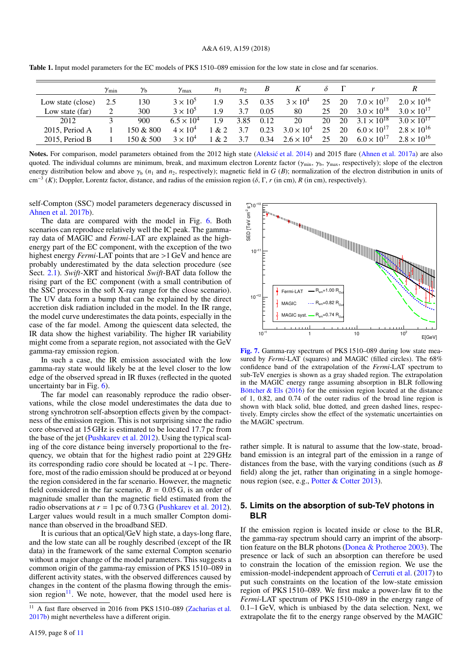|                   | $\gamma_{\rm min}$ | $\gamma_{\rm b}$ | $\gamma_{\rm max}$  | n <sub>1</sub> | n <sub>2</sub> | В    |                     |    |    |                      |                      |
|-------------------|--------------------|------------------|---------------------|----------------|----------------|------|---------------------|----|----|----------------------|----------------------|
| Low state (close) | 2.5                | 130              | $3 \times 10^5$     | 1.9            |                | 0.35 | $3 \times 10^{4}$   | 25 | 20 | $7.0 \times 10^{17}$ | $2.0 \times 10^{16}$ |
| Low state (far)   |                    | 300              | $3 \times 10^5$     | 1.9            |                | 0.05 | 80                  | 25 | 20 | $3.0 \times 10^{18}$ | $3.0 \times 10^{17}$ |
| 2012              | 3                  | 900              | $6.5 \times 10^{4}$ | 1.9            | 3.85           | 0.12 | 20                  | 20 | 20 | $3.1 \times 10^{18}$ | $3.0 \times 10^{17}$ |
| 2015, Period A    |                    | 150 & 800        | $4 \times 10^4$     | 82             |                | 0.23 | $3.0 \times 10^{4}$ | 25 | 20 | $6.0 \times 10^{17}$ | $2.8 \times 10^{16}$ |
| $2015$ . Period B |                    | 150 & 500        | $3 \times 10^4$     | &2             |                | 0.34 | $2.6 \times 10^{4}$ | 25 | 20 | $6.0 \times 10^{17}$ | $2.8 \times 10^{16}$ |

<span id="page-7-1"></span>Table 1. Input model parameters for the EC models of PKS 1510–089 emission for the low state in close and far scenarios.

Notes. For comparison, model parameters obtained from the 2012 high state [\(Aleksic et al.](#page-9-27) [2014\)](#page-9-27) and 2015 flare [\(Ahnen et al.](#page-9-28) [2017a\)](#page-9-28) are also quoted. The individual columns are minimum, break, and maximum electron Lorentz factor ( $\gamma_{min}$ ,  $\gamma_b$ ,  $\gamma_{max}$ , respectively); slope of the electron energy distribution below and above  $\gamma_b$  ( $n_1$  and  $n_2$ , respectively); magnetic field in *G* (*B*); normalization of the electron distribution in units of cm<sup>−</sup><sup>3</sup> (*K*); Doppler, Lorentz factor, distance, and radius of the emission region (δ, <sup>Γ</sup>, *<sup>r</sup>* (in cm), *<sup>R</sup>* (in cm), respectively).

self-Compton (SSC) model parameters degeneracy discussed in [Ahnen et al.](#page-9-72) [2017b\)](#page-9-72).

The data are compared with the model in Fig. [6.](#page-6-1) Both scenarios can reproduce relatively well the IC peak. The gammaray data of MAGIC and *Fermi*-LAT are explained as the highenergy part of the EC component, with the exception of the two highest energy *Fermi*-LAT points that are >1 GeV and hence are probably underestimated by the data selection procedure (see Sect. [2.1\)](#page-1-6). *Swift*-XRT and historical *Swift*-BAT data follow the rising part of the EC component (with a small contribution of the SSC process in the soft X-ray range for the close scenario). The UV data form a bump that can be explained by the direct accretion disk radiation included in the model. In the IR range, the model curve underestimates the data points, especially in the case of the far model. Among the quiescent data selected, the IR data show the highest variability. The higher IR variability might come from a separate region, not associated with the GeV gamma-ray emission region.

In such a case, the IR emission associated with the low gamma-ray state would likely be at the level closer to the low edge of the observed spread in IR fluxes (reflected in the quoted uncertainty bar in Fig. [6\)](#page-6-1).

The far model can reasonably reproduce the radio observations, while the close model underestimates the data due to strong synchrotron self-absorption effects given by the compactness of the emission region. This is not surprising since the radio core observed at 15 GHz is estimated to be located 17.7 pc from the base of the jet [\(Pushkarev et al.](#page-9-73) [2012\)](#page-9-73). Using the typical scaling of the core distance being inversely proportional to the frequency, we obtain that for the highest radio point at 229 GHz its corresponding radio core should be located at ∼1 pc. Therefore, most of the radio emission should be produced at or beyond the region considered in the far scenario. However, the magnetic field considered in the far scenario,  $B = 0.05$  G, is an order of magnitude smaller than the magnetic field estimated from the radio observations at  $r = 1$  pc of 0.73 G [\(Pushkarev et al.](#page-9-73) [2012\)](#page-9-73). Larger values would result in a much smaller Compton dominance than observed in the broadband SED.

It is curious that an optical/GeV high state, a days-long flare, and the low state can all be roughly described (except of the IR data) in the framework of the same external Compton scenario without a major change of the model parameters. This suggests a common origin of the gamma-ray emission of PKS 1510–089 in different activity states, with the observed differences caused by changes in the content of the plasma flowing through the emission region $11$ . We note, however, that the model used here is



<span id="page-7-3"></span>[Fig. 7.](https://dexter.edpsciences.org/applet.php?DOI=10.1051/0004-6361/201833618&pdf_id=7) Gamma-ray spectrum of PKS 1510–089 during low state measured by *Fermi*-LAT (squares) and MAGIC (filled circles). The 68% confidence band of the extrapolation of the *Fermi*-LAT spectrum to sub-TeV energies is shown as a gray shaded region. The extrapolation in the MAGIC energy range assuming absorption in BLR following Böttcher  $&$  Els [\(2016\)](#page-9-74) for the emission region located at the distance of 1, 0.82, and 0.74 of the outer radius of the broad line region is shown with black solid, blue dotted, and green dashed lines, respectively. Empty circles show the effect of the systematic uncertainties on the MAGIC spectrum.

rather simple. It is natural to assume that the low-state, broadband emission is an integral part of the emission in a range of distances from the base, with the varying conditions (such as *B* field) along the jet, rather than originating in a single homogenous region (see, e.g., [Potter & Cotter](#page-9-75) [2013\)](#page-9-75).

# <span id="page-7-0"></span>**5. Limits on the absorption of sub-TeV photons in BLR**

If the emission region is located inside or close to the BLR, the gamma-ray spectrum should carry an imprint of the absorption feature on the BLR photons [\(Donea & Protheroe](#page-9-76) [2003\)](#page-9-76). The presence or lack of such an absorption can therefore be used to constrain the location of the emission region. We use the emission-model-independent approach of [Cerruti et al.](#page-9-77) [\(2017\)](#page-9-77) to put such constraints on the location of the low-state emission region of PKS 1510–089. We first make a power-law fit to the *Fermi*-LAT spectrum of PKS 1510–089 in the energy range of 0.1–1 GeV, which is unbiased by the data selection. Next, we extrapolate the fit to the energy range observed by the MAGIC

<span id="page-7-2"></span><sup>&</sup>lt;sup>11</sup> A fast flare observed in 2016 from PKS 1510–089 [\(Zacharias et al.](#page-9-35) [2017b\)](#page-9-35) might nevertheless have a different origin.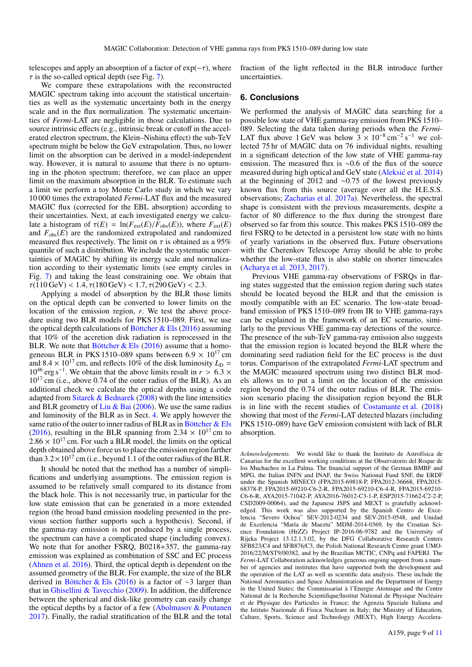telescopes and apply an absorption of a factor of  $exp(-\tau)$ , where  $\tau$  is the so-called optical depth (see Fig. [7\)](#page-7-3).

We compare these extrapolations with the reconstructed MAGIC spectrum taking into account the statistical uncertainties as well as the systematic uncertainty both in the energy scale and in the flux normalization. The systematic uncertainties of *Fermi*-LAT are negligible in those calculations. Due to source intrinsic effects (e.g., intrinsic break or cutoff in the accelerated electron spectrum, the Klein–Nishina effect) the sub-TeV spectrum might be below the GeV extrapolation. Thus, no lower limit on the absorption can be derived in a model-independent way. However, it is natural to assume that there is no upturning in the photon spectrum; therefore, we can place an upper limit on the maximum absorption in the BLR. To estimate such a limit we perform a toy Monte Carlo study in which we vary 10 000 times the extrapolated *Fermi*-LAT flux and the measured MAGIC flux (corrected for the EBL absorption) according to their uncertainties. Next, at each investigated energy we calculate a histogram of  $\tau(E) = \ln(F_{ext}(E)/F_{obs}(E))$ , where  $F_{ext}(E)$ and  $F_{obs}(E)$  are the randomized extrapolated and randomized measured flux respectively. The limit on  $\tau$  is obtained as a 95% quantile of such a distribution. We include the systematic uncertainties of MAGIC by shifting its energy scale and normalization according to their systematic limits (see empty circles in Fig. [7\)](#page-7-3) and taking the least constraining one. We obtain that  $\tau(110 \,\text{GeV})$  < 1.4,  $\tau(180 \,\text{GeV})$  < 1.7,  $\tau(290 \,\text{GeV})$  < 2.3.

Applying a model of absorption by the BLR those limits on the optical depth can be converted to lower limits on the location of the emission region, *r*. We test the above procedure using two BLR models for PKS 1510–089. First, we use the optical depth calculations of Böttcher  $\&$  Els [\(2016\)](#page-9-74) assuming that 10% of the accretion disk radiation is reprocessed in the BLR. We note that [Böttcher & Els](#page-9-74) [\(2016\)](#page-9-74) assume that a homogeneous BLR in PKS 1510–089 spans between  $6.9 \times 10^{17}$  cm and 8.4  $\times$  10<sup>17</sup> cm, and reflects 10% of the disk luminosity  $L_D$  =  $10^{46}$  erg s<sup>-1</sup>. We obtain that the above limits result in *r* > 6.3 ×  $10^{17}$  cm (i.e. above 0.74 of the outer radius of the BLR). As an  $10^{17}$  cm (i.e., above 0.74 of the outer radius of the BLR). As an additional check we calculate the optical depths using a code adapted from [Sitarek & Bednarek](#page-9-78) [\(2008\)](#page-9-78) with the line intensities and BLR geometry of Liu  $&$  Bai [\(2006\)](#page-9-79). We use the same radius and luminosity of the BLR as in Sect. [4.](#page-5-1) We apply however the same ratio of the outer to inner radius of BLR as in [Böttcher & Els](#page-9-74) [\(2016\)](#page-9-74), resulting in the BLR spanning from 2.34  $\times$  10<sup>17</sup> cm to  $2.86 \times 10^{17}$  cm. For such a BLR model, the limits on the optical depth obtained above force us to place the emission region farther than  $3.2 \times 10^{17}$  cm (i.e., beyond 1.1 of the outer radius of the BLR.

It should be noted that the method has a number of simplifications and underlying assumptions. The emission region is assumed to be relatively small compared to its distance from the black hole. This is not necessarily true, in particular for the low state emission that can be generated in a more extended region (the broad band emission modeling presented in the previous section further supports such a hypothesis). Second, if the gamma-ray emission is not produced by a single process, the spectrum can have a complicated shape (including convex). We note that for another FSRQ, B0218+357, the gamma-ray emission was explained as combination of SSC and EC process [\(Ahnen et al.](#page-9-80) [2016\)](#page-9-80). Third, the optical depth is dependent on the assumed geometry of the BLR. For example, the size of the BLR derived in [Böttcher & Els](#page-9-74) [\(2016\)](#page-9-74) is a factor of ∼3 larger than that in [Ghisellini & Tavecchio](#page-9-81) [\(2009\)](#page-9-81). In addition, the difference between the spherical and disk-like geometry can easily change the optical depths by a factor of a few [\(Abolmasov & Poutanen](#page-9-82) [2017\)](#page-9-82). Finally, the radial stratification of the BLR and the total fraction of the light reflected in the BLR introduce further uncertainties.

#### <span id="page-8-0"></span>**6. Conclusions**

We performed the analysis of MAGIC data searching for a possible low state of VHE gamma-ray emission from PKS 1510– 089. Selecting the data taken during periods when the *Fermi*-LAT flux above 1 GeV was below  $3 \times 10^{-8}$  cm<sup>-2</sup> s<sup>-1</sup> we collected 75 hr of MAGIC data on 76 individual nights, resulting in a significant detection of the low state of VHE gamma-ray emission. The measured flux is <sup>∼</sup>0.6 of the flux of the source measured during high optical and GeV state [\(Aleksic et al.](#page-9-27) [2014\)](#page-9-27) at the beginning of 2012 and <sup>∼</sup>0.75 of the lowest previously known flux from this source (average over all the H.E.S.S. observations; [Zacharias et al.](#page-9-34) [2017a\)](#page-9-34). Nevertheless, the spectral shape is consistent with the previous measurements, despite a factor of 80 difference to the flux during the strongest flare observed so far from this source. This makes PKS 1510–089 the first FSRQ to be detected in a persistent low state with no hints of yearly variations in the observed flux. Future observations with the Cherenkov Telescope Array should be able to probe whether the low-state flux is also stable on shorter timescales [\(Acharya et al.](#page-9-83) [2013,](#page-9-83) [2017\)](#page-9-84).

Previous VHE gamma-ray observations of FSRQs in flaring states suggested that the emission region during such states should be located beyond the BLR and that the emission is mostly compatible with an EC scenario. The low-state broadband emission of PKS 1510–089 from IR to VHE gamma-rays can be explained in the framework of an EC scenario, similarly to the previous VHE gamma-ray detections of the source. The presence of the sub-TeV gamma-ray emission also suggests that the emission region is located beyond the BLR where the dominating seed radiation field for the EC process is the dust torus. Comparison of the extrapolated *Fermi*-LAT spectrum and the MAGIC measured spectrum using two distinct BLR models allows us to put a limit on the location of the emission region beyond the 0.74 of the outer radius of BLR. The emission scenario placing the dissipation region beyond the BLR is in line with the recent studies of [Costamante et al.](#page-9-85) [\(2018\)](#page-9-85) showing that most of the *Fermi*-LAT detected blazars (including PKS 1510–089) have GeV emission consistent with lack of BLR absorption.

*Acknowledgements.* We would like to thank the Instituto de Astrofísica de Canarias for the excellent working conditions at the Observatorio del Roque de los Muchachos in La Palma. The financial support of the German BMBF and MPG, the Italian INFN and INAF, the Swiss National Fund SNF, the ERDF under the Spanish MINECO (FPA2015-69818-P, FPA2012-36668, FPA2015- 68378-P, FPA2015-69210-C6-2-R, FPA2015-69210-C6-4-R, FPA2015-69210- C6-6-R, AYA2015-71042-P, AYA2016-76012-C3-1-P, ESP2015-71662-C2-2-P, CSD2009-00064), and the Japanese JSPS and MEXT is gratefully acknowledged. This work was also supported by the Spanish Centro de Excelencia "Severo Ochoa" SEV-2012-0234 and SEV-2015-0548, and Unidad de Excelencia "María de Maeztu" MDM-2014-0369, by the Croatian Science Foundation (HrZZ) Project IP-2016-06-9782 and the University of Rijeka Project 13.12.1.3.02, by the DFG Collaborative Research Centers SFB823/C4 and SFB876/C3, the Polish National Research Centre grant UMO-2016/22/M/ST9/00382, and by the Brazilian MCTIC, CNPq and FAPERJ. The *Fermi*-LAT Collaboration acknowledges generous ongoing support from a number of agencies and institutes that have supported both the development and the operation of the LAT as well as scientific data analysis. These include the National Aeronautics and Space Administration and the Department of Energy in the United States; the Commissariat à l'Energie Atomique and the Centre National de la Recherche Scientifique/Institut National de Physique Nucléaire et de Physique des Particules in France; the Agenzia Spaziale Italiana and the Istituto Nazionale di Fisica Nucleare in Italy; the Ministry of Education, Culture, Sports, Science and Technology (MEXT), High Energy Accelera-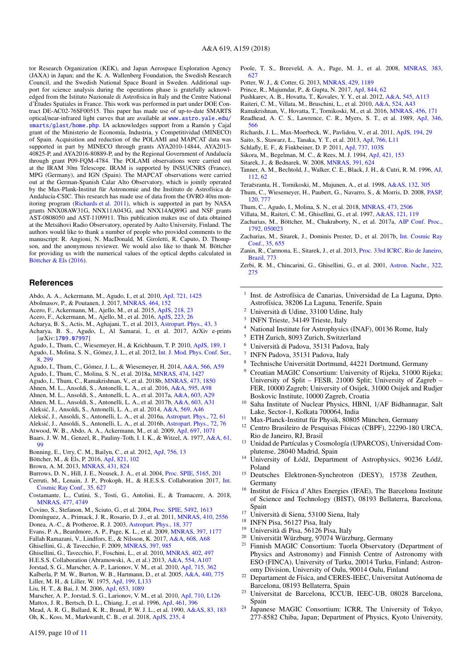tor Research Organization (KEK), and Japan Aerospace Exploration Agency (JAXA) in Japan; and the K. A. Wallenberg Foundation, the Swedish Research Council, and the Swedish National Space Board in Sweden. Additional support for science analysis during the operations phase is gratefully acknowledged from the Istituto Nazionale di Astrofisica in Italy and the Centre National d'Études Spatiales in France. This work was performed in part under DOE Contract DE-AC02-76SF00515. This paper has made use of up-to-date SMARTS optical/near-infrared light curves that are available at [www.astro.yale.edu/](www.astro.yale.edu/smarts/glast/home.php) [smarts/glast/home.php](www.astro.yale.edu/smarts/glast/home.php). IA acknowledges support from a Ramón y Cajal grant of the Ministerio de Economía, Industria, y Competitividad (MINECO) of Spain. Acquisition and reduction of the POLAMI and MAPCAT data was supported in part by MINECO through grants AYA2010-14844, AYA2013-40825-P, and AYA2016-80889-P, and by the Regional Government of Andalucía through grant P09-FQM-4784. The POLAMI observations were carried out at the IRAM 30m Telescope. IRAM is supported by INSU/CNRS (France), MPG (Germany), and IGN (Spain). The MAPCAT observations were carried out at the German-Spanish Calar Alto Observatory, which is jointly operated by the Max-Plank-Institut für Astronomie and the Instituto de Astrofísica de Andalucía-CSIC. This research has made use of data from the OVRO 40m monitoring program [\(Richards et al.](#page-9-57) [2011\)](#page-9-57), which is supported in part by NASA grants NNX08AW31G, NNX11A043G, and NNX14AQ89G and NSF grants AST-0808050 and AST-1109911. This publication makes use of data obtained at the Metsähovi Radio Observatory, operated by Aalto University, Finland. The authors would like to thank a number of people who provided comments to the manuscript: R. Angioni, N. MacDonald, M. Giroletti, R. Caputo, D. Thompson, and the anonymous reviewer. We would also like to thank M. Böttcher for providing us with the numerical values of the optical depths calculated in [Böttcher & Els](#page-9-74) [\(2016\)](#page-9-74).

# **References**

- <span id="page-9-29"></span>Abdo, A. A., Ackermann, M., Agudo, I., et al. 2010, [ApJ, 721, 1425](http://linker.aanda.org/10.1051/0004-6361/201833618/1)
- <span id="page-9-82"></span>Abolmasov, P., & Poutanen, J. 2017, [MNRAS, 464, 152](http://linker.aanda.org/10.1051/0004-6361/201833618/2)
- <span id="page-9-39"></span>Acero, F., Ackermann, M., Ajello, M., et al. 2015, [ApJS, 218, 23](http://linker.aanda.org/10.1051/0004-6361/201833618/3)
- <span id="page-9-38"></span>Acero, F., Ackermann, M., Ajello, M., et al. 2016, [ApJS, 223, 26](http://linker.aanda.org/10.1051/0004-6361/201833618/4)
- <span id="page-9-83"></span>Acharya, B. S., Actis, M., Aghajani, T., et al. 2013, [Astropart. Phys., 43, 3](http://linker.aanda.org/10.1051/0004-6361/201833618/5)
- <span id="page-9-84"></span>Acharya, B. S., Agudo, I., Al Samarai, I., et al. 2017, ArXiv e-prints [arXiv:[1709.07997](http://arxiv.org/abs/1709.07997)]
- <span id="page-9-64"></span><span id="page-9-49"></span>Agudo, I., Thum, C., Wiesemeyer, H., & Krichbaum, T. P. 2010, [ApJS, 189, 1](http://linker.aanda.org/10.1051/0004-6361/201833618/7) Agudo, I., Molina, S. N., Gómez, J. L., et al. 2012, [Int. J. Mod. Phys. Conf. Ser.,](http://linker.aanda.org/10.1051/0004-6361/201833618/8) [8, 299](http://linker.aanda.org/10.1051/0004-6361/201833618/8)
- <span id="page-9-65"></span>Agudo, I., Thum, C., Gómez, J. L., & Wiesemeyer, H. 2014, [A&A, 566, A59](http://linker.aanda.org/10.1051/0004-6361/201833618/9)
- <span id="page-9-60"></span>Agudo, I., Thum, C., Molina, S. N., et al. 2018a, [MNRAS, 474, 1427](http://linker.aanda.org/10.1051/0004-6361/201833618/10)
- <span id="page-9-61"></span>Agudo, I., Thum, C., Ramakrishnan, V., et al. 2018b, [MNRAS, 473, 1850](http://linker.aanda.org/10.1051/0004-6361/201833618/11)
- <span id="page-9-80"></span>Ahnen, M. L., Ansoldi, S., Antonelli, L. A., et al. 2016, [A&A, 595, A98](http://linker.aanda.org/10.1051/0004-6361/201833618/12)
- <span id="page-9-28"></span>Ahnen, M. L., Ansoldi, S., Antonelli, L. A., et al. 2017a, [A&A, 603, A29](http://linker.aanda.org/10.1051/0004-6361/201833618/13)
- <span id="page-9-72"></span>
- Ahnen, M. L., Ansoldi, S., Antonelli, L. A., et al. 2017b, [A&A, 603, A31](http://linker.aanda.org/10.1051/0004-6361/201833618/14)
- <span id="page-9-27"></span>Aleksić, J., Ansoldi, S., Antonelli, L. A., et al. 2014,  $A&A$ , 569, A46
- <span id="page-9-36"></span>Aleksić, J., Ansoldi, S., Antonelli, L. A., et al. 2016a, [Astropart. Phys., 72, 61](http://linker.aanda.org/10.1051/0004-6361/201833618/16)
- <span id="page-9-42"></span>Aleksić, J., Ansoldi, S., Antonelli, L. A., et al. 2016b, [Astropart. Phys., 72, 76](http://linker.aanda.org/10.1051/0004-6361/201833618/17)
- <span id="page-9-67"></span><span id="page-9-37"></span>Atwood, W. B., Abdo, A. A., Ackermann, M., et al. 2009, [ApJ, 697, 1071](http://linker.aanda.org/10.1051/0004-6361/201833618/18) Baars, J. W. M., Genzel, R., Pauliny-Toth, I. I. K., & Witzel, A. 1977, [A&A, 61,](http://linker.aanda.org/10.1051/0004-6361/201833618/19) [99](http://linker.aanda.org/10.1051/0004-6361/201833618/19)
- <span id="page-9-51"></span>Bonning, E., Urry, C. M., Bailyn, C., et al. 2012, [ApJ, 756, 13](http://linker.aanda.org/10.1051/0004-6361/201833618/20)
- <span id="page-9-74"></span>Böttcher, M., & Els, P. 2016, [ApJ, 821, 102](http://linker.aanda.org/10.1051/0004-6361/201833618/21)
- <span id="page-9-30"></span>Brown, A. M. 2013, [MNRAS, 431, 824](http://linker.aanda.org/10.1051/0004-6361/201833618/22)
- <span id="page-9-44"></span>Burrows, D. N., Hill, J. E., Nousek, J. A., et al. 2004, [Proc. SPIE, 5165, 201](http://linker.aanda.org/10.1051/0004-6361/201833618/23)
- <span id="page-9-77"></span>Cerruti, M., Lenain, J. P., Prokoph, H., & H.E.S.S. Collaboration 2017, [Int.](http://linker.aanda.org/10.1051/0004-6361/201833618/24)
- <span id="page-9-85"></span>[Cosmic Ray Conf., 35, 627](http://linker.aanda.org/10.1051/0004-6361/201833618/24) Costamante, L., Cutini, S., Tosti, G., Antolini, E., & Tramacere, A. 2018, [MNRAS, 477, 4749](http://linker.aanda.org/10.1051/0004-6361/201833618/25)
- <span id="page-9-55"></span>Covino, S., Stefanon, M., Sciuto, G., et al. 2004, [Proc. SPIE, 5492, 1613](http://linker.aanda.org/10.1051/0004-6361/201833618/26)
- <span id="page-9-68"></span>Domínguez, A., Primack, J. R., Rosario, D. J., et al. 2011, [MNRAS, 410, 2556](http://linker.aanda.org/10.1051/0004-6361/201833618/27)
- <span id="page-9-76"></span>Donea, A.-C., & Protheroe, R. J. 2003, [Astropart. Phys., 18, 377](http://linker.aanda.org/10.1051/0004-6361/201833618/28)
- <span id="page-9-45"></span>Evans, P. A., Beardmore, A. P., Page, K. L., et al. 2009, [MNRAS, 397, 1177](http://linker.aanda.org/10.1051/0004-6361/201833618/29)
- <span id="page-9-46"></span>Fallah Ramazani, V., Lindfors, E., & Nilsson, K. 2017, [A&A, 608, A68](http://linker.aanda.org/10.1051/0004-6361/201833618/30)
- <span id="page-9-81"></span>Ghisellini, G., & Tavecchio, F. 2009, [MNRAS, 397, 985](http://linker.aanda.org/10.1051/0004-6361/201833618/31)
- <span id="page-9-70"></span><span id="page-9-25"></span>Ghisellini, G., Tavecchio, F., Foschini, L., et al. 2010, [MNRAS, 402, 497](http://linker.aanda.org/10.1051/0004-6361/201833618/32) H.E.S.S. Collaboration (Abramowski, A., et al.) 2013, [A&A, 554, A107](http://linker.aanda.org/10.1051/0004-6361/201833618/33)
- <span id="page-9-50"></span>Jorstad, S. G., Marscher, A. P., Larionov, V. M., et al. 2010, [ApJ, 715, 362](http://linker.aanda.org/10.1051/0004-6361/201833618/34)
- <span id="page-9-47"></span>Kalberla, P. M. W., Burton, W. B., Hartmann, D., et al. 2005, [A&A, 440, 775](http://linker.aanda.org/10.1051/0004-6361/201833618/35)
- <span id="page-9-79"></span><span id="page-9-33"></span>Liller, M. H., & Liller, W. 1975, [ApJ, 199, L133](http://linker.aanda.org/10.1051/0004-6361/201833618/36) Liu, H. T., & Bai, J. M. 2006, [ApJ, 653, 1089](http://linker.aanda.org/10.1051/0004-6361/201833618/37)
- <span id="page-9-26"></span>
- Marscher, A. P., Jorstad, S. G., Larionov, V. M., et al. 2010, [ApJ, 710, L126](http://linker.aanda.org/10.1051/0004-6361/201833618/38)
- <span id="page-9-40"></span>Mattox, J. R., Bertsch, D. L., Chiang, J., et al. 1996, [ApJ, 461, 396](http://linker.aanda.org/10.1051/0004-6361/201833618/39)
- <span id="page-9-71"></span><span id="page-9-56"></span>Mead, A. R. G., Ballard, K. R., Brand, P. W. J. L., et al. 1990, [A&AS, 83, 183](http://linker.aanda.org/10.1051/0004-6361/201833618/40) Oh, K., Koss, M., Markwardt, C. B., et al. 2018, [ApJS, 235, 4](http://linker.aanda.org/10.1051/0004-6361/201833618/41)
- <span id="page-9-52"></span>Poole, T. S., Breeveld, A. A., Page, M. J., et al. 2008, [MNRAS, 383,](http://linker.aanda.org/10.1051/0004-6361/201833618/42) 62<sup>7</sup>
- <span id="page-9-75"></span>Potter, W. J., & Cotter, G. 2013, [MNRAS, 429, 1189](http://linker.aanda.org/10.1051/0004-6361/201833618/43)
- <span id="page-9-32"></span>Prince, R., Majumdar, P., & Gupta, N. 2017, [ApJ, 844, 62](http://linker.aanda.org/10.1051/0004-6361/201833618/44)
- <span id="page-9-73"></span>Pushkarev, A. B., Hovatta, T., Kovalev, Y. Y., et al. 2012, [A&A, 545, A113](http://linker.aanda.org/10.1051/0004-6361/201833618/45)
- <span id="page-9-53"></span>Raiteri, C. M., Villata, M., Bruschini, L., et al. 2010, [A&A, 524, A43](http://linker.aanda.org/10.1051/0004-6361/201833618/46)
- <span id="page-9-59"></span>Ramakrishnan, V., Hovatta, T., Tornikoski, M., et al. 2016, [MNRAS, 456, 171](http://linker.aanda.org/10.1051/0004-6361/201833618/47)
- <span id="page-9-66"></span>Readhead, A. C. S., Lawrence, C. R., Myers, S. T., et al. 1989, [ApJ, 346,](http://linker.aanda.org/10.1051/0004-6361/201833618/48) [566](http://linker.aanda.org/10.1051/0004-6361/201833618/48)
- <span id="page-9-57"></span>Richards, J. L., Max-Moerbeck, W., Pavlidou, V., et al. 2011, [ApJS, 194, 29](http://linker.aanda.org/10.1051/0004-6361/201833618/49)
- <span id="page-9-31"></span>Saito, S., Stawarz, Ł., Tanaka, Y. T., et al. 2013, [ApJ, 766, L11](http://linker.aanda.org/10.1051/0004-6361/201833618/50)
- <span id="page-9-41"></span>Schlafly, E. F., & Finkbeiner, D. P. 2011, [ApJ, 737, 103S](http://linker.aanda.org/10.1051/0004-6361/201833618/51)
- <span id="page-9-69"></span>Sikora, M., Begelman, M. C., & Rees, M. J. 1994, [ApJ, 421, 153](http://linker.aanda.org/10.1051/0004-6361/201833618/52)
- <span id="page-9-78"></span>Sitarek, J., & Bednarek, W. 2008, [MNRAS, 391, 624](http://linker.aanda.org/10.1051/0004-6361/201833618/53)
- <span id="page-9-24"></span>Tanner, A. M., Bechtold, J., Walker, C. E., Black, J. H., & Cutri, R. M. 1996, [AJ,](http://linker.aanda.org/10.1051/0004-6361/201833618/54) [112, 62](http://linker.aanda.org/10.1051/0004-6361/201833618/54)
- <span id="page-9-58"></span>Teraësranta, H., Tornikoski, M., Mujunen, A., et al. 1998, [A&AS, 132, 305](http://linker.aanda.org/10.1051/0004-6361/201833618/55)
- <span id="page-9-63"></span>Thum, C., Wiesemeyer, H., Paubert, G., Navarro, S., & Morris, D. 2008, [PASP,](http://linker.aanda.org/10.1051/0004-6361/201833618/56) [120, 777](http://linker.aanda.org/10.1051/0004-6361/201833618/56)
- <span id="page-9-62"></span>Thum, C., Agudo, I., Molina, S. N., et al. 2018, [MNRAS, 473, 2506](http://linker.aanda.org/10.1051/0004-6361/201833618/57)
- <span id="page-9-48"></span>Villata, M., Raiteri, C. M., Ghisellini, G., et al. 1997, [A&AS, 121, 119](http://linker.aanda.org/10.1051/0004-6361/201833618/58)
- <span id="page-9-34"></span>Zacharias, M., Böttcher, M., Chakraborty, N., et al. 2017a, [AIP Conf. Proc.,](http://linker.aanda.org/10.1051/0004-6361/201833618/59) [1792, 050023](http://linker.aanda.org/10.1051/0004-6361/201833618/59)
- <span id="page-9-35"></span>Zacharias, M., Sitarek, J., Dominis Prester, D., et al. 2017b, [Int. Cosmic Ray](http://linker.aanda.org/10.1051/0004-6361/201833618/60) [Conf., 35, 655](http://linker.aanda.org/10.1051/0004-6361/201833618/60)
- <span id="page-9-43"></span>Zanin, R., Carmona, E., Sitarek, J., et al. 2013, [Proc. 33rd ICRC, Rio de Janeiro,](http://linker.aanda.org/10.1051/0004-6361/201833618/61) [Brazil, 773](http://linker.aanda.org/10.1051/0004-6361/201833618/61)
- <span id="page-9-54"></span>Zerbi, R. M., Chincarini, G., Ghisellini, G., et al. 2001, [Astron. Nachr., 322,](http://linker.aanda.org/10.1051/0004-6361/201833618/62) [275](http://linker.aanda.org/10.1051/0004-6361/201833618/62)
- <span id="page-9-0"></span>1 Inst. de Astrofísica de Canarias, Universidad de La Laguna, Dpto. Astrofísica, 38206 La Laguna, Tenerife, Spain
- <span id="page-9-1"></span><sup>2</sup> Università di Udine, 33100 Udine, Italy
- <span id="page-9-2"></span><sup>3</sup> INFN Trieste, 34149 Trieste, Italy
- <span id="page-9-4"></span>National Institute for Astrophysics (INAF), 00136 Rome, Italy
- <span id="page-9-5"></span><sup>5</sup> ETH Zurich, 8093 Zurich, Switzerland
- <span id="page-9-6"></span><sup>6</sup> Università di Padova, 35131 Padova, Italy
- <span id="page-9-7"></span>7 INFN Padova, 35131 Padova, Italy
- <span id="page-9-8"></span><sup>8</sup> Technische Universität Dortmund, 44221 Dortmund, Germany
- <span id="page-9-9"></span><sup>9</sup> Croatian MAGIC Consortium: University of Rijeka, 51000 Rijeka; University of Split – FESB, 21000 Split; University of Zagreb – FER, 10000 Zagreb; University of Osijek, 31000 Osijek and Rudjer Boskovic Institute, 10000 Zagreb, Croatia
- <span id="page-9-10"></span><sup>10</sup> Saha Institute of Nuclear Physics, HBNI, 1/AF Bidhannagar, Salt Lake, Sector-1, Kolkata 700064, India
- <span id="page-9-11"></span><sup>11</sup> Max-Planck-Institut für Physik, 80805 München, Germany
- <span id="page-9-12"></span><sup>12</sup> Centro Brasileiro de Pesquisas Físicas (CBPF), 22290-180 URCA, Rio de Janeiro, RJ, Brasil
- <span id="page-9-13"></span><sup>13</sup> Unidad de Partículas y Cosmología (UPARCOS), Universidad Complutense, 28040 Madrid, Spain
- <span id="page-9-14"></span><sup>14</sup> University of Łódź, Department of Astrophysics, 90236 Łódź, Poland
- <span id="page-9-15"></span><sup>15</sup> Deutsches Elektronen-Synchrotron (DESY), 15738 Zeuthen, Germany
- <span id="page-9-16"></span><sup>16</sup> Institut de Física d'Altes Energies (IFAE), The Barcelona Institute of Science and Technology (BIST), 08193 Bellaterra, Barcelona, Spain
- <span id="page-9-17"></span><sup>17</sup> Università di Siena, 53100 Siena, Italy
- <span id="page-9-18"></span><sup>18</sup> INFN Pisa, 56127 Pisa, Italy<sup>19</sup> Iniversità di Pisa, 56126 Pisa
- <span id="page-9-19"></span><sup>19</sup> Università di Pisa, 56126 Pisa, Italy<br><sup>20</sup> Universität Würzburg, 07074 Würzb
- <span id="page-9-20"></span><sup>20</sup> Universität Würzburg, 97074 Würzburg, Germany
- <span id="page-9-21"></span>Finnish MAGIC Consortium: Tuorla Observatory (Department of Physics and Astronomy) and Finnish Centre of Astronomy with ESO (FINCA), University of Turku, 20014 Turku, Finland; Astronomy Division, University of Oulu, 90014 Oulu, Finland
- <span id="page-9-22"></span><sup>22</sup> Departament de Física, and CERES-IEEC, Universitat Autónoma de Barcelona, 08193 Bellaterra, Spain
- <span id="page-9-23"></span><sup>23</sup> Universitat de Barcelona, ICCUB, IEEC-UB, 08028 Barcelona, Spain
- <span id="page-9-3"></span><sup>24</sup> Japanese MAGIC Consortium: ICRR, The University of Tokyo, 277-8582 Chiba, Japan; Department of Physics, Kyoto University,